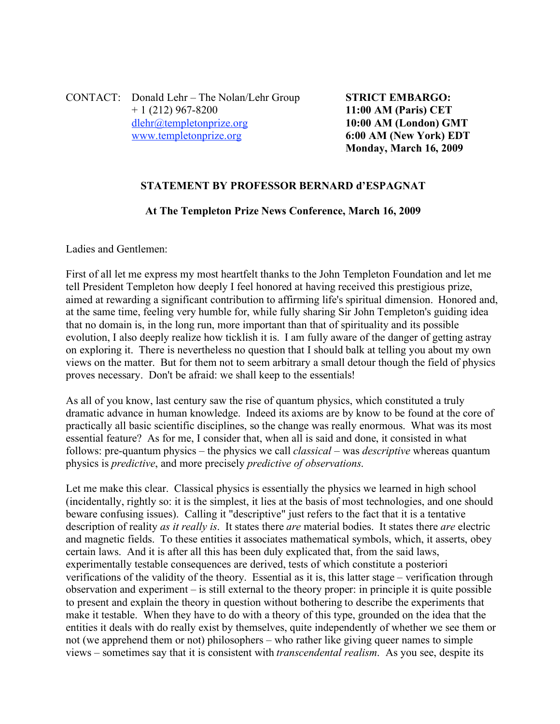CONTACT: Donald Lehr – The Nolan/Lehr Group **STRICT EMBARGO:**  + 1 (212) 967-8200 **11:00 AM (Paris) CET** dlehr@templetonprize.org **10:00 AM (London) GMT** www.templetonprize.org **6:00 AM (New York) EDT**

**Monday, March 16, 2009**

## **STATEMENT BY PROFESSOR BERNARD d'ESPAGNAT**

## **At The Templeton Prize News Conference, March 16, 2009**

Ladies and Gentlemen:

First of all let me express my most heartfelt thanks to the John Templeton Foundation and let me tell President Templeton how deeply I feel honored at having received this prestigious prize, aimed at rewarding a significant contribution to affirming life's spiritual dimension. Honored and, at the same time, feeling very humble for, while fully sharing Sir John Templeton's guiding idea that no domain is, in the long run, more important than that of spirituality and its possible evolution, I also deeply realize how ticklish it is. I am fully aware of the danger of getting astray on exploring it. There is nevertheless no question that I should balk at telling you about my own views on the matter. But for them not to seem arbitrary a small detour though the field of physics proves necessary. Don't be afraid: we shall keep to the essentials!

As all of you know, last century saw the rise of quantum physics, which constituted a truly dramatic advance in human knowledge. Indeed its axioms are by know to be found at the core of practically all basic scientific disciplines, so the change was really enormous. What was its most essential feature? As for me, I consider that, when all is said and done, it consisted in what follows: pre-quantum physics – the physics we call *classical* – was *descriptive* whereas quantum physics is *predictive*, and more precisely *predictive of observations*.

Let me make this clear. Classical physics is essentially the physics we learned in high school (incidentally, rightly so: it is the simplest, it lies at the basis of most technologies, and one should beware confusing issues). Calling it "descriptive" just refers to the fact that it is a tentative description of reality *as it really is*. It states there *are* material bodies. It states there *are* electric and magnetic fields. To these entities it associates mathematical symbols, which, it asserts, obey certain laws. And it is after all this has been duly explicated that, from the said laws, experimentally testable consequences are derived, tests of which constitute a posteriori verifications of the validity of the theory. Essential as it is, this latter stage – verification through observation and experiment – is still external to the theory proper: in principle it is quite possible to present and explain the theory in question without bothering to describe the experiments that make it testable. When they have to do with a theory of this type, grounded on the idea that the entities it deals with do really exist by themselves, quite independently of whether we see them or not (we apprehend them or not) philosophers – who rather like giving queer names to simple views – sometimes say that it is consistent with *transcendental realism*. As you see, despite its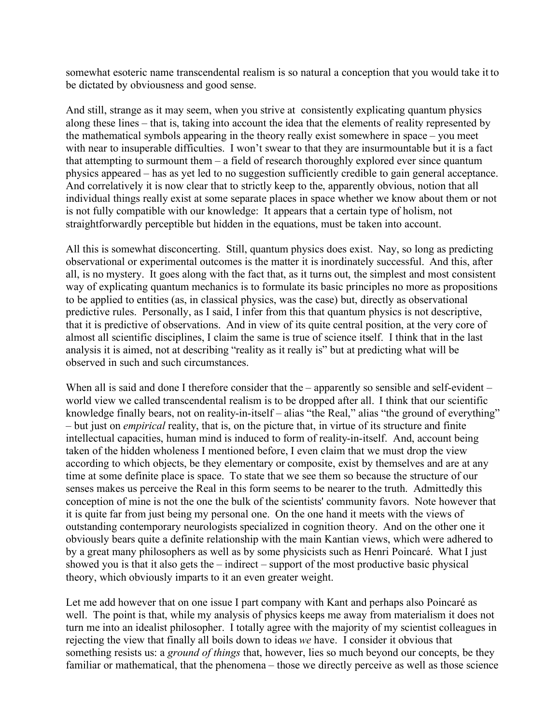somewhat esoteric name transcendental realism is so natural a conception that you would take it to be dictated by obviousness and good sense.

And still, strange as it may seem, when you strive at consistently explicating quantum physics along these lines – that is, taking into account the idea that the elements of reality represented by the mathematical symbols appearing in the theory really exist somewhere in space – you meet with near to insuperable difficulties. I won't swear to that they are insurmountable but it is a fact that attempting to surmount them – a field of research thoroughly explored ever since quantum physics appeared – has as yet led to no suggestion sufficiently credible to gain general acceptance. And correlatively it is now clear that to strictly keep to the, apparently obvious, notion that all individual things really exist at some separate places in space whether we know about them or not is not fully compatible with our knowledge: It appears that a certain type of holism, not straightforwardly perceptible but hidden in the equations, must be taken into account.

All this is somewhat disconcerting. Still, quantum physics does exist. Nay, so long as predicting observational or experimental outcomes is the matter it is inordinately successful. And this, after all, is no mystery. It goes along with the fact that, as it turns out, the simplest and most consistent way of explicating quantum mechanics is to formulate its basic principles no more as propositions to be applied to entities (as, in classical physics, was the case) but, directly as observational predictive rules. Personally, as I said, I infer from this that quantum physics is not descriptive, that it is predictive of observations. And in view of its quite central position, at the very core of almost all scientific disciplines, I claim the same is true of science itself. I think that in the last analysis it is aimed, not at describing "reality as it really is" but at predicting what will be observed in such and such circumstances.

When all is said and done I therefore consider that the – apparently so sensible and self-evident – world view we called transcendental realism is to be dropped after all. I think that our scientific knowledge finally bears, not on reality-in-itself – alias "the Real," alias "the ground of everything" – but just on *empirical* reality, that is, on the picture that, in virtue of its structure and finite intellectual capacities, human mind is induced to form of reality-in-itself. And, account being taken of the hidden wholeness I mentioned before, I even claim that we must drop the view according to which objects, be they elementary or composite, exist by themselves and are at any time at some definite place is space. To state that we see them so because the structure of our senses makes us perceive the Real in this form seems to be nearer to the truth. Admittedly this conception of mine is not the one the bulk of the scientists' community favors. Note however that it is quite far from just being my personal one. On the one hand it meets with the views of outstanding contemporary neurologists specialized in cognition theory. And on the other one it obviously bears quite a definite relationship with the main Kantian views, which were adhered to by a great many philosophers as well as by some physicists such as Henri Poincaré. What I just showed you is that it also gets the – indirect – support of the most productive basic physical theory, which obviously imparts to it an even greater weight.

Let me add however that on one issue I part company with Kant and perhaps also Poincaré as well. The point is that, while my analysis of physics keeps me away from materialism it does not turn me into an idealist philosopher. I totally agree with the majority of my scientist colleagues in rejecting the view that finally all boils down to ideas *we* have. I consider it obvious that something resists us: a *ground of things* that, however, lies so much beyond our concepts, be they familiar or mathematical, that the phenomena – those we directly perceive as well as those science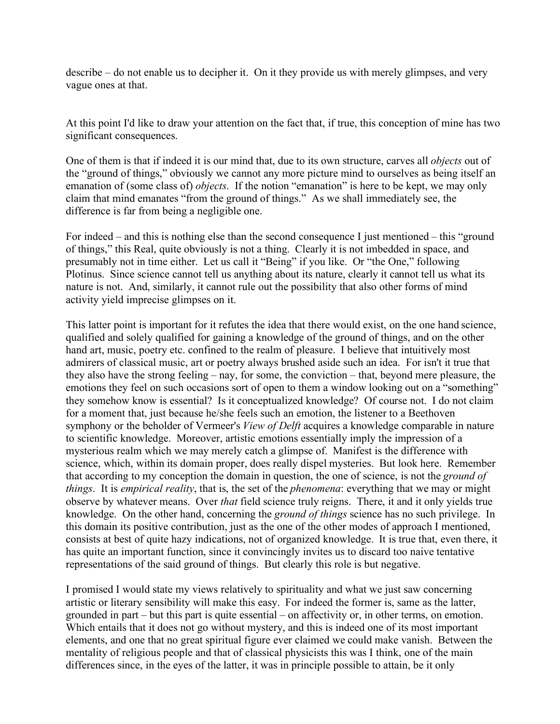describe – do not enable us to decipher it. On it they provide us with merely glimpses, and very vague ones at that.

At this point I'd like to draw your attention on the fact that, if true, this conception of mine has two significant consequences.

One of them is that if indeed it is our mind that, due to its own structure, carves all *objects* out of the "ground of things," obviously we cannot any more picture mind to ourselves as being itself an emanation of (some class of) *objects*. If the notion "emanation" is here to be kept, we may only claim that mind emanates "from the ground of things." As we shall immediately see, the difference is far from being a negligible one.

For indeed – and this is nothing else than the second consequence I just mentioned – this "ground of things," this Real, quite obviously is not a thing. Clearly it is not imbedded in space, and presumably not in time either. Let us call it "Being" if you like. Or "the One," following Plotinus. Since science cannot tell us anything about its nature, clearly it cannot tell us what its nature is not. And, similarly, it cannot rule out the possibility that also other forms of mind activity yield imprecise glimpses on it.

This latter point is important for it refutes the idea that there would exist, on the one hand science, qualified and solely qualified for gaining a knowledge of the ground of things, and on the other hand art, music, poetry etc. confined to the realm of pleasure. I believe that intuitively most admirers of classical music, art or poetry always brushed aside such an idea. For isn't it true that they also have the strong feeling – nay, for some, the conviction – that, beyond mere pleasure, the emotions they feel on such occasions sort of open to them a window looking out on a "something" they somehow know is essential? Is it conceptualized knowledge? Of course not. I do not claim for a moment that, just because he/she feels such an emotion, the listener to a Beethoven symphony or the beholder of Vermeer's *View of Delft* acquires a knowledge comparable in nature to scientific knowledge. Moreover, artistic emotions essentially imply the impression of a mysterious realm which we may merely catch a glimpse of. Manifest is the difference with science, which, within its domain proper, does really dispel mysteries. But look here. Remember that according to my conception the domain in question, the one of science, is not the *ground of things*. It is *empirical reality*, that is, the set of the *phenomena*: everything that we may or might observe by whatever means. Over *that* field science truly reigns. There, it and it only yields true knowledge. On the other hand, concerning the *ground of things* science has no such privilege. In this domain its positive contribution, just as the one of the other modes of approach I mentioned, consists at best of quite hazy indications, not of organized knowledge. It is true that, even there, it has quite an important function, since it convincingly invites us to discard too naive tentative representations of the said ground of things. But clearly this role is but negative.

I promised I would state my views relatively to spirituality and what we just saw concerning artistic or literary sensibility will make this easy. For indeed the former is, same as the latter, grounded in part – but this part is quite essential – on affectivity or, in other terms, on emotion. Which entails that it does not go without mystery, and this is indeed one of its most important elements, and one that no great spiritual figure ever claimed we could make vanish. Between the mentality of religious people and that of classical physicists this was I think, one of the main differences since, in the eyes of the latter, it was in principle possible to attain, be it only